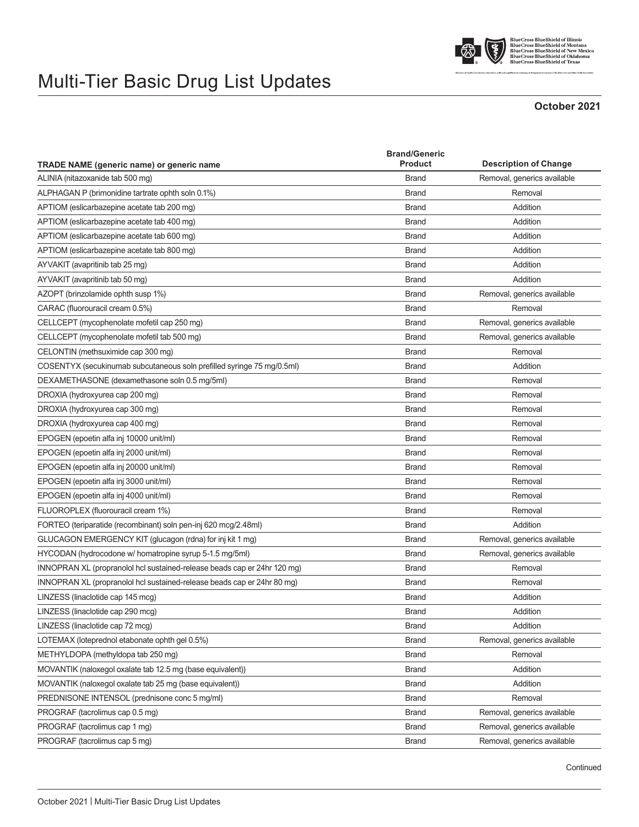



BlueCross BlueShield of Illinois<br>BlueCross BlueShield of Montana<br>BlueCross BlueShield of New Mexico<br>BlueCross BlueShield of Oklahoma<br>BlueCross BlueShield of Oklahoma<br>BlueCross BlueShield of Texas

## **October 2021**

| <b>TRADE NAME</b> (generic name) or generic name                         | <b>Brand/Generic</b><br><b>Product</b> | <b>Description of Change</b> |
|--------------------------------------------------------------------------|----------------------------------------|------------------------------|
|                                                                          |                                        |                              |
| ALPHAGAN P (brimonidine tartrate ophth soln 0.1%)                        | <b>Brand</b>                           | Removal                      |
| APTIOM (eslicarbazepine acetate tab 200 mg)                              | <b>Brand</b>                           | Addition                     |
| APTIOM (eslicarbazepine acetate tab 400 mg)                              | <b>Brand</b>                           | Addition                     |
| APTIOM (eslicarbazepine acetate tab 600 mg)                              | <b>Brand</b>                           | Addition                     |
| APTIOM (eslicarbazepine acetate tab 800 mg)                              | <b>Brand</b>                           | Addition                     |
| AYVAKIT (avapritinib tab 25 mg)                                          | <b>Brand</b>                           | Addition                     |
| AYVAKIT (avapritinib tab 50 mg)                                          | <b>Brand</b>                           | Addition                     |
| AZOPT (brinzolamide ophth susp 1%)                                       | <b>Brand</b>                           | Removal, generics available  |
| CARAC (fluorouracil cream 0.5%)                                          | <b>Brand</b>                           | Removal                      |
| CELLCEPT (mycophenolate mofetil cap 250 mg)                              | <b>Brand</b>                           | Removal, generics available  |
| CELLCEPT (mycophenolate mofetil tab 500 mg)                              | <b>Brand</b>                           | Removal, generics available  |
| CELONTIN (methsuximide cap 300 mg)                                       | <b>Brand</b>                           | Removal                      |
| COSENTYX (secukinumab subcutaneous soln prefilled syringe 75 mg/0.5ml)   | <b>Brand</b>                           | Addition                     |
| DEXAMETHASONE (dexamethasone soln 0.5 mg/5ml)                            | <b>Brand</b>                           | Removal                      |
| DROXIA (hydroxyurea cap 200 mg)                                          | <b>Brand</b>                           | Removal                      |
| DROXIA (hydroxyurea cap 300 mg)                                          | <b>Brand</b>                           | Removal                      |
| DROXIA (hydroxyurea cap 400 mg)                                          | <b>Brand</b>                           | Removal                      |
| EPOGEN (epoetin alfa inj 10000 unit/ml)                                  | <b>Brand</b>                           | Removal                      |
| EPOGEN (epoetin alfa inj 2000 unit/ml)                                   | <b>Brand</b>                           | Removal                      |
| EPOGEN (epoetin alfa inj 20000 unit/ml)                                  | <b>Brand</b>                           | Removal                      |
| EPOGEN (epoetin alfa inj 3000 unit/ml)                                   | <b>Brand</b>                           | Removal                      |
| EPOGEN (epoetin alfa inj 4000 unit/ml)                                   | <b>Brand</b>                           | Removal                      |
| FLUOROPLEX (fluorouracil cream 1%)                                       | <b>Brand</b>                           | Removal                      |
| FORTEO (teriparatide (recombinant) soln pen-inj 620 mcg/2.48ml)          | <b>Brand</b>                           | Addition                     |
| GLUCAGON EMERGENCY KIT (glucagon (rdna) for inj kit 1 mg)                | <b>Brand</b>                           | Removal, generics available  |
| HYCODAN (hydrocodone w/ homatropine syrup 5-1.5 mg/5ml)                  | <b>Brand</b>                           | Removal, generics available  |
| INNOPRAN XL (propranolol hcl sustained-release beads cap er 24hr 120 mg) | <b>Brand</b>                           | Removal                      |
| INNOPRAN XL (propranolol hcl sustained-release beads cap er 24hr 80 mg)  | <b>Brand</b>                           | Removal                      |
| LINZESS (linaclotide cap 145 mcq)                                        | <b>Brand</b>                           | Addition                     |
| LINZESS (linaclotide cap 290 mcg)                                        | <b>Brand</b>                           | Addition                     |
| LINZESS (linaclotide cap 72 mcg)                                         | <b>Brand</b>                           | Addition                     |
| LOTEMAX (loteprednol etabonate ophth gel 0.5%)                           | <b>Brand</b>                           | Removal, generics available  |
| METHYLDOPA (methyldopa tab 250 mg)                                       | <b>Brand</b>                           | Removal                      |
| MOVANTIK (naloxegol oxalate tab 12.5 mg (base equivalent))               | <b>Brand</b>                           | Addition                     |
| MOVANTIK (naloxegol oxalate tab 25 mg (base equivalent))                 | <b>Brand</b>                           | Addition                     |
| PREDNISONE INTENSOL (prednisone conc 5 mg/ml)                            | <b>Brand</b>                           | Removal                      |
| PROGRAF (tacrolimus cap 0.5 mg)                                          | <b>Brand</b>                           | Removal, generics available  |
| PROGRAF (tacrolimus cap 1 mg)                                            | <b>Brand</b>                           | Removal, generics available  |
| PROGRAF (tacrolimus cap 5 mg)                                            | <b>Brand</b>                           | Removal, generics available  |